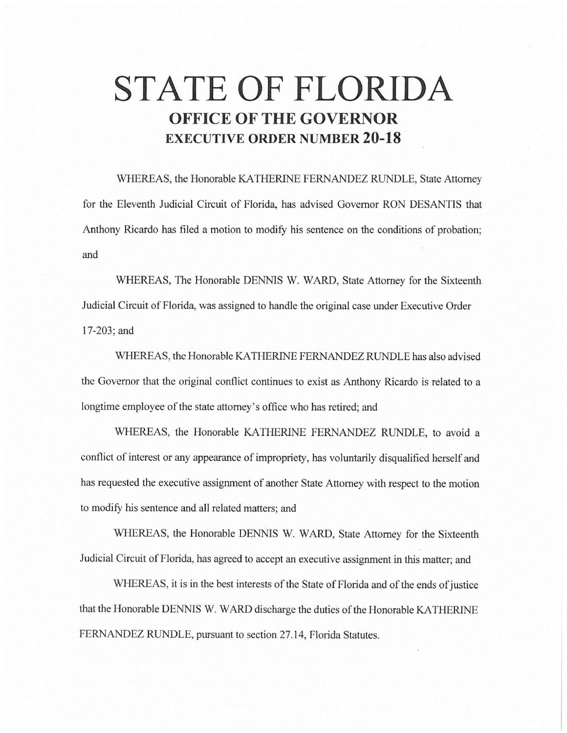# **STATE OF FLORIDA OFFICE OF THE GOVERNOR EXECUTIVE ORDER NUMBER 20-18**

WHEREAS, the Honorable KA THERINE FERNANDEZ RUNDLE, State Attorney for the Eleventh Judicial Circuit of Florida, has advised Governor RON DESANTIS that Anthony Ricardo has filed a motion to modify his sentence on the conditions of probation; and

WHEREAS, The Honorable DENNIS W. WARD, State Attorney for the Sixteenth Judicial Circuit of Florida, was assigned to handle the original case under Executive Order 17-203; and

WHEREAS, the Honorable KA THERINE FERNANDEZ RUNDLE has also advised the Governor that the original conflict continues to exist as Anthony Ricardo is related to a longtime employee of the state attorney's office who has retired; and

WHEREAS, the Honorable KATHERINE FERNANDEZ RUNDLE, to avoid a conflict of interest or any appearance of impropriety, has voluntarily disqualified herself and has requested the executive assignment of another State Attorney with respect to the motion to modify his sentence and all related matters; and

WHEREAS, the Honorable DENNIS W. WARD, State Attorney for the Sixteenth Judicial Circuit of Florida, has agreed to accept an executive assignment in this matter; and

WHEREAS, it is in the best interests of the State of Florida and of the ends of justice that the Honorable DENNIS W. WARD discharge the duties of the Honorable KATHERINE FERNANDEZ RUNDLE, pursuant to section 27. 14, Florida Statutes.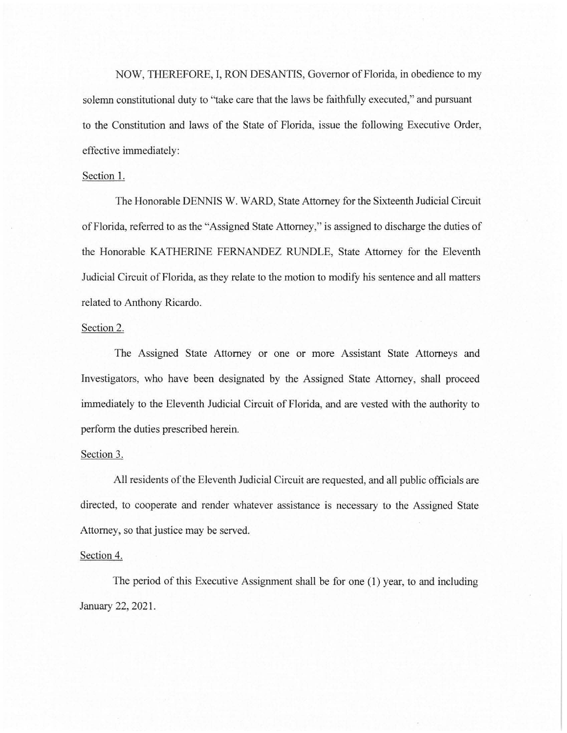NOW, THEREFORE, I, RON DESANTIS, Governor of Florida, in obedience to my solemn constitutional duty to "take care that the laws be faithfully executed," and pursuant to the Constitution and laws of the State of Florida, issue the following Executive Order, effective immediately:

## Section 1.

The Honorable DENNIS W. WARD, State Attorney for the Sixteenth Judicial Circuit of Florida, referred to as the "Assigned State Attorney," is assigned to discharge the duties of the Honorable KA THERINE FERNANDEZ RUNDLE, State Attorney for the Eleventh Judicial Circuit of Florida, as they relate to the motion to modify his sentence and all matters related to Anthony Ricardo.

#### Section 2.

The Assigned State Attorney or one or more Assistant State Attorneys and Investigators, who have been designated by the Assigned State Attorney, shall proceed immediately to the Eleventh Judicial Circuit of Florida, and are vested with the authority to perform the duties prescribed herein.

#### Section 3.

All residents of the Eleventh Judicial Circuit are requested, and all public officials are directed, to cooperate and render whatever assistance is necessary to the Assigned State Attorney, so that justice may be served.

### Section 4.

The period of this Executive Assignment shall be for one (1) year, to and including January 22, 2021.